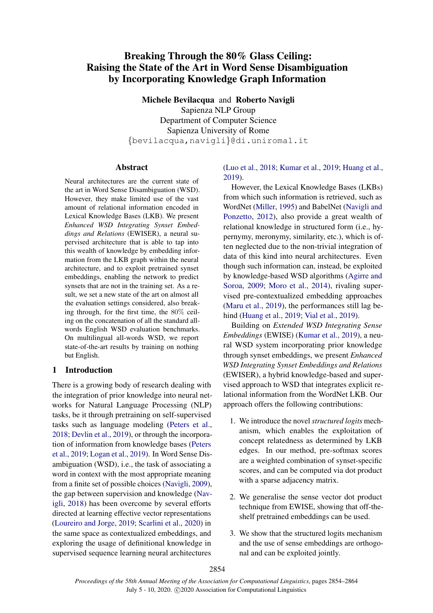# Breaking Through the 80% Glass Ceiling: Raising the State of the Art in Word Sense Disambiguation by Incorporating Knowledge Graph Information

Michele Bevilacqua and Roberto Navigli Sapienza NLP Group Department of Computer Science Sapienza University of Rome {bevilacqua,navigli}@di.uniroma1.it

### Abstract

Neural architectures are the current state of the art in Word Sense Disambiguation (WSD). However, they make limited use of the vast amount of relational information encoded in Lexical Knowledge Bases (LKB). We present *Enhanced WSD Integrating Synset Embeddings and Relations* (EWISER), a neural supervised architecture that is able to tap into this wealth of knowledge by embedding information from the LKB graph within the neural architecture, and to exploit pretrained synset embeddings, enabling the network to predict synsets that are not in the training set. As a result, we set a new state of the art on almost all the evaluation settings considered, also breaking through, for the first time, the 80% ceiling on the concatenation of all the standard allwords English WSD evaluation benchmarks. On multilingual all-words WSD, we report state-of-the-art results by training on nothing but English.

# 1 Introduction

There is a growing body of research dealing with the integration of prior knowledge into neural networks for Natural Language Processing (NLP) tasks, be it through pretraining on self-supervised tasks such as language modeling [\(Peters et al.,](#page-10-0) [2018;](#page-10-0) [Devlin et al.,](#page-9-0) [2019\)](#page-9-0), or through the incorporation of information from knowledge bases [\(Peters](#page-10-1) [et al.,](#page-10-1) [2019;](#page-10-1) [Logan et al.,](#page-9-1) [2019\)](#page-9-1). In Word Sense Disambiguation (WSD), i.e., the task of associating a word in context with the most appropriate meaning from a finite set of possible choices [\(Navigli,](#page-10-2) [2009\)](#page-10-2), the gap between supervision and knowledge [\(Nav](#page-10-3)[igli,](#page-10-3) [2018\)](#page-10-3) has been overcome by several efforts directed at learning effective vector representations [\(Loureiro and Jorge,](#page-9-2) [2019;](#page-9-2) [Scarlini et al.,](#page-10-4) [2020\)](#page-10-4) in the same space as contextualized embeddings, and exploring the usage of definitional knowledge in supervised sequence learning neural architectures

# [\(Luo et al.,](#page-9-3) [2018;](#page-9-3) [Kumar et al.,](#page-9-4) [2019;](#page-9-4) [Huang et al.,](#page-9-5) [2019\)](#page-9-5).

However, the Lexical Knowledge Bases (LKBs) from which such information is retrieved, such as WordNet [\(Miller,](#page-9-6) [1995\)](#page-9-6) and BabelNet [\(Navigli and](#page-10-5) [Ponzetto,](#page-10-5) [2012\)](#page-10-5), also provide a great wealth of relational knowledge in structured form (i.e., hypernymy, meronymy, similarity, etc.), which is often neglected due to the non-trivial integration of data of this kind into neural architectures. Even though such information can, instead, be exploited by knowledge-based WSD algorithms [\(Agirre and](#page-9-7) [Soroa,](#page-9-7) [2009;](#page-9-7) [Moro et al.,](#page-10-6) [2014\)](#page-10-6), rivaling supervised pre-contextualized embedding approaches [\(Maru et al.,](#page-9-8) [2019\)](#page-9-8), the performances still lag behind [\(Huang et al.,](#page-9-5) [2019;](#page-9-5) [Vial et al.,](#page-10-7) [2019\)](#page-10-7).

Building on *Extended WSD Integrating Sense Embeddings* (EWISE) [\(Kumar et al.,](#page-9-4) [2019\)](#page-9-4), a neural WSD system incorporating prior knowledge through synset embeddings, we present *Enhanced WSD Integrating Synset Embeddings and Relations* (EWISER), a hybrid knowledge-based and supervised approach to WSD that integrates explicit relational information from the WordNet LKB. Our approach offers the following contributions:

- 1. We introduce the novel *structured logits* mechanism, which enables the exploitation of concept relatedness as determined by LKB edges. In our method, pre-softmax scores are a weighted combination of synset-specific scores, and can be computed via dot product with a sparse adjacency matrix.
- 2. We generalise the sense vector dot product technique from EWISE, showing that off-theshelf pretrained embeddings can be used.
- 3. We show that the structured logits mechanism and the use of sense embeddings are orthogonal and can be exploited jointly.

2854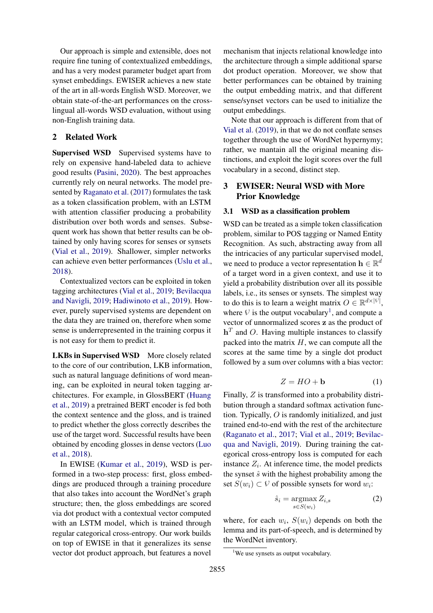Our approach is simple and extensible, does not require fine tuning of contextualized embeddings, and has a very modest parameter budget apart from synset embeddings. EWISER achieves a new state of the art in all-words English WSD. Moreover, we obtain state-of-the-art performances on the crosslingual all-words WSD evaluation, without using non-English training data.

### 2 Related Work

Supervised WSD Supervised systems have to rely on expensive hand-labeled data to achieve good results [\(Pasini,](#page-10-8) [2020\)](#page-10-8). The best approaches currently rely on neural networks. The model presented by [Raganato et al.](#page-10-9) [\(2017\)](#page-10-9) formulates the task as a token classification problem, with an LSTM with attention classifier producing a probability distribution over both words and senses. Subsequent work has shown that better results can be obtained by only having scores for senses or synsets [\(Vial et al.,](#page-10-7) [2019\)](#page-10-7). Shallower, simpler networks can achieve even better performances [\(Uslu et al.,](#page-10-10) [2018\)](#page-10-10).

Contextualized vectors can be exploited in token tagging architectures [\(Vial et al.,](#page-10-7) [2019;](#page-10-7) [Bevilacqua](#page-9-9) [and Navigli,](#page-9-9) [2019;](#page-9-9) [Hadiwinoto et al.,](#page-9-10) [2019\)](#page-9-10). However, purely supervised systems are dependent on the data they are trained on, therefore when some sense is underrepresented in the training corpus it is not easy for them to predict it.

LKBs in Supervised WSD More closely related to the core of our contribution, LKB information, such as natural language definitions of word meaning, can be exploited in neural token tagging architectures. For example, in GlossBERT [\(Huang](#page-9-5) [et al.,](#page-9-5) [2019\)](#page-9-5) a pretrained BERT encoder is fed both the context sentence and the gloss, and is trained to predict whether the gloss correctly describes the use of the target word. Successful results have been obtained by encoding glosses in dense vectors [\(Luo](#page-9-3) [et al.,](#page-9-3) [2018\)](#page-9-3).

In EWISE [\(Kumar et al.,](#page-9-4) [2019\)](#page-9-4), WSD is performed in a two-step process: first, gloss embeddings are produced through a training procedure that also takes into account the WordNet's graph structure; then, the gloss embeddings are scored via dot product with a contextual vector computed with an LSTM model, which is trained through regular categorical cross-entropy. Our work builds on top of EWISE in that it generalizes its sense vector dot product approach, but features a novel

mechanism that injects relational knowledge into the architecture through a simple additional sparse dot product operation. Moreover, we show that better performances can be obtained by training the output embedding matrix, and that different sense/synset vectors can be used to initialize the output embeddings.

Note that our approach is different from that of [Vial et al.](#page-10-7) [\(2019\)](#page-10-7), in that we do not conflate senses together through the use of WordNet hypernymy; rather, we mantain all the original meaning distinctions, and exploit the logit scores over the full vocabulary in a second, distinct step.

# 3 EWISER: Neural WSD with More Prior Knowledge

### 3.1 WSD as a classification problem

WSD can be treated as a simple token classification problem, similar to POS tagging or Named Entity Recognition. As such, abstracting away from all the intricacies of any particular supervised model, we need to produce a vector representation  $\mathbf{h} \in \mathbb{R}^d$ of a target word in a given context, and use it to yield a probability distribution over all its possible labels, i.e., its senses or synsets. The simplest way to do this is to learn a weight matrix  $O \in \mathbb{R}^{d \times |\mathcal{V}|}$ , where  $V$  is the output vocabulary<sup>[1](#page-1-0)</sup>, and compute a vector of unnormalized scores z as the product of  $h<sup>T</sup>$  and O. Having multiple instances to classify packed into the matrix  $H$ , we can compute all the scores at the same time by a single dot product followed by a sum over columns with a bias vector:

$$
Z = HO + \mathbf{b} \tag{1}
$$

<span id="page-1-1"></span>Finally, Z is transformed into a probability distribution through a standard softmax activation function. Typically, O is randomly initialized, and just trained end-to-end with the rest of the architecture [\(Raganato et al.,](#page-10-9) [2017;](#page-10-9) [Vial et al.,](#page-10-7) [2019;](#page-10-7) [Bevilac](#page-9-9)[qua and Navigli,](#page-9-9) [2019\)](#page-9-9). During training the categorical cross-entropy loss is computed for each instance  $Z_i$ . At inference time, the model predicts the synset  $\hat{s}$  with the highest probability among the set  $S(w_i) \subset V$  of possible synsets for word  $w_i$ :

$$
\hat{s}_i = \underset{s \in S(w_i)}{\operatorname{argmax}} Z_{i,s} \tag{2}
$$

where, for each  $w_i$ ,  $S(w_i)$  depends on both the lemma and its part-of-speech, and is determined by the WordNet inventory.

<span id="page-1-0"></span><sup>&</sup>lt;sup>1</sup>We use synsets as output vocabulary.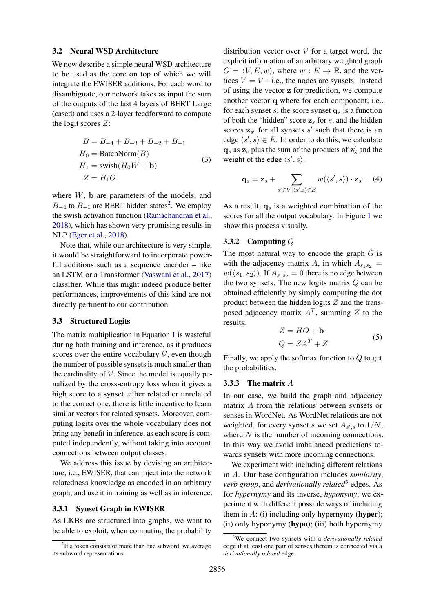#### <span id="page-2-2"></span>3.2 Neural WSD Architecture

We now describe a simple neural WSD architecture to be used as the core on top of which we will integrate the EWISER additions. For each word to disambiguate, our network takes as input the sum of the outputs of the last 4 layers of BERT Large (cased) and uses a 2-layer feedforward to compute the logit scores Z:

$$
B = B_{-4} + B_{-3} + B_{-2} + B_{-1}
$$
  
\n
$$
H_0 = \text{BatchNorm}(B)
$$
  
\n
$$
H_1 = \text{swish}(H_0W + \mathbf{b})
$$
  
\n
$$
Z = H_1O
$$
\n(3)

where W, b are parameters of the models, and  $B_{-4}$  to  $B_{-1}$  are BERT hidden states<sup>[2](#page-2-0)</sup>. We employ the swish activation function [\(Ramachandran et al.,](#page-10-11) [2018\)](#page-10-11), which has shown very promising results in NLP [\(Eger et al.,](#page-9-11) [2018\)](#page-9-11).

Note that, while our architecture is very simple, it would be straightforward to incorporate powerful additions such as a sequence encoder – like an LSTM or a Transformer [\(Vaswani et al.,](#page-10-12) [2017\)](#page-10-12) classifier. While this might indeed produce better performances, improvements of this kind are not directly pertinent to our contribution.

#### 3.3 Structured Logits

The matrix multiplication in Equation [1](#page-1-1) is wasteful during both training and inference, as it produces scores over the entire vocabulary  $V$ , even though the number of possible synsets is much smaller than the cardinality of  $V$ . Since the model is equally penalized by the cross-entropy loss when it gives a high score to a synset either related or unrelated to the correct one, there is little incentive to learn similar vectors for related synsets. Moreover, computing logits over the whole vocabulary does not bring any benefit in inference, as each score is computed independently, without taking into account connections between output classes.

We address this issue by devising an architecture, i.e., EWISER, that can inject into the network relatedness knowledge as encoded in an arbitrary graph, and use it in training as well as in inference.

#### 3.3.1 Synset Graph in EWISER

As LKBs are structured into graphs, we want to be able to exploit, when computing the probability

distribution vector over  $V$  for a target word, the explicit information of an arbitrary weighted graph  $G = \langle V, E, w \rangle$ , where  $w : E \to \mathbb{R}$ , and the vertices  $V = V - i.e.,$  the nodes are synsets. Instead of using the vector z for prediction, we compute another vector q where for each component, i.e.. for each synset s, the score synset  $q_s$  is a function of both the "hidden" score  $z_s$  for s, and the hidden scores  $z_{s'}$  for all synsets  $s'$  such that there is an edge  $\langle s', s \rangle \in E$ . In order to do this, we calculate  $\mathbf{q}_s$  as  $\mathbf{z}_s$  plus the sum of the products of  $\mathbf{z}'_s$  and the weight of the edge  $\langle s', s \rangle$ .

$$
\mathbf{q}_s = \mathbf{z}_s + \sum_{s' \in V | \langle s', s \rangle \in E} w(\langle s', s \rangle) \cdot \mathbf{z}_{s'} \quad (4)
$$

As a result,  $q_s$  is a weighted combination of the scores for all the output vocabulary. In Figure [1](#page-3-0) we show this process visually.

#### <span id="page-2-3"></span>3.3.2 Computing Q

The most natural way to encode the graph  $G$  is with the adjacency matrix A, in which  $A_{s_1s_2}$  =  $w(\langle s_1, s_2 \rangle)$ . If  $A_{s_1 s_2} = 0$  there is no edge between the two synsets. The new logits matrix  $Q$  can be obtained efficiently by simply computing the dot product between the hidden logits  $Z$  and the transposed adjacency matrix  $A<sup>T</sup>$ , summing Z to the results.

$$
Z = HO + \mathbf{b}
$$
  
 
$$
Q = ZA^{T} + Z
$$
 (5)

Finally, we apply the softmax function to  $Q$  to get the probabilities.

### <span id="page-2-4"></span>3.3.3 The matrix A

In our case, we build the graph and adjacency matrix A from the relations between synsets or senses in WordNet. As WordNet relations are not weighted, for every synset s we set  $A_{s',s}$  to  $1/N$ , where  $N$  is the number of incoming connections. In this way we avoid imbalanced predictions towards synsets with more incoming connections.

We experiment with including different relations in A. Our base configuration includes *similarity*, *verb group*, and *derivationally related*[3](#page-2-1) edges. As for *hypernymy* and its inverse, *hyponymy*, we experiment with different possible ways of including them in  $A$ : (i) including only hypernymy (**hyper**); (ii) only hyponymy (hypo); (iii) both hypernymy

<span id="page-2-0"></span><sup>&</sup>lt;sup>2</sup>If a token consists of more than one subword, we average its subword representations.

<span id="page-2-1"></span><sup>3</sup>We connect two synsets with a *derivationally related* edge if at least one pair of senses therein is connected via a *derivationally related* edge.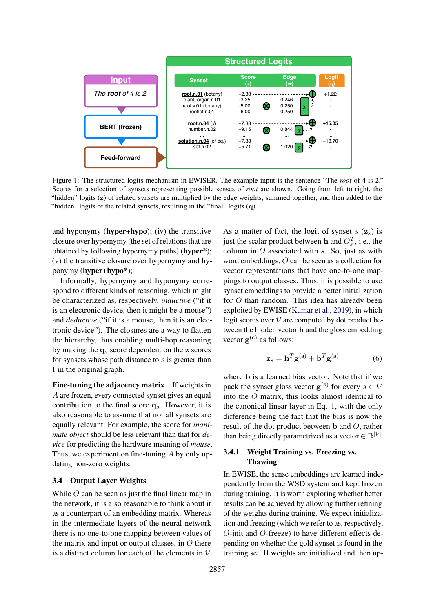<span id="page-3-0"></span>

Figure 1: The structured logits mechanism in EWISER. The example input is the sentence "The *root* of 4 is 2." Scores for a selection of synsets representing possible senses of *root* are shown. Going from left to right, the "hidden" logits (z) of related synsets are multiplied by the edge weights, summed together, and then added to the "hidden" logits of the related synsets, resulting in the "final" logits (q).

and hyponymy (hyper+hypo); (iv) the transitive closure over hypernymy (the set of relations that are obtained by following hypernymy paths) (hyper\*); (v) the transitive closure over hypernymy and hyponymy (hyper+hypo\*);

Informally, hypernymy and hyponymy correspond to different kinds of reasoning, which might be characterized as, respectively, *inductive* ("if it is an electronic device, then it might be a mouse") and *deductive* ("if it is a mouse, then it is an electronic device"). The closures are a way to flatten the hierarchy, thus enabling multi-hop reasoning by making the  $q_s$  score dependent on the z scores for synsets whose path distance to s is greater than 1 in the original graph.

Fine-tuning the adjacency matrix If weights in A are frozen, every connected synset gives an equal contribution to the final score  $q_s$ . However, it is also reasonable to assume that not all synsets are equally relevant. For example, the score for *inanimate object* should be less relevant than that for *device* for predicting the hardware meaning of *mouse*. Thus, we experiment on fine-tuning  $A$  by only updating non-zero weights.

#### 3.4 Output Layer Weights

While  $O$  can be seen as just the final linear map in the network, it is also reasonable to think about it as a counterpart of an embedding matrix. Whereas in the intermediate layers of the neural network there is no one-to-one mapping between values of the matrix and input or output classes, in  $O$  there is a distinct column for each of the elements in  $V$ . As a matter of fact, the logit of synset  $s$  ( $\mathbf{z}_s$ ) is just the scalar product between h and  $O_s^T$ , i.e., the column in  $O$  associated with  $s$ . So, just as with word embeddings, O can be seen as a collection for vector representations that have one-to-one mappings to output classes. Thus, it is possible to use synset embeddings to provide a better initialization for O than random. This idea has already been exploited by EWISE [\(Kumar et al.,](#page-9-4) [2019\)](#page-9-4), in which logit scores over  $V$  are computed by dot product between the hidden vector h and the gloss embedding vector  $\mathbf{g}^{(\mathbf{s})}$  as follows:

$$
\mathbf{z}_s = \mathbf{h}^T \mathbf{g}^{(\mathbf{s})} + \mathbf{b}^T \mathbf{g}^{(\mathbf{s})} \tag{6}
$$

where b is a learned bias vector. Note that if we pack the synset gloss vector  $\mathbf{g}^{(\mathbf{s})}$  for every  $s \in V$ into the O matrix, this looks almost identical to the canonical linear layer in Eq. [1,](#page-1-1) with the only difference being the fact that the bias is now the result of the dot product between b and O, rather than being directly parametrized as a vector  $\in \mathbb{R}^{|\mathcal{V}|}$ .

# 3.4.1 Weight Training vs. Freezing vs. Thawing

In EWISE, the sense embeddings are learned independently from the WSD system and kept frozen during training. It is worth exploring whether better results can be achieved by allowing further refining of the weights during training. We expect initialization and freezing (which we refer to as, respectively, O-init and O-freeze) to have different effects depending on whether the gold synset is found in the training set. If weights are initialized and then up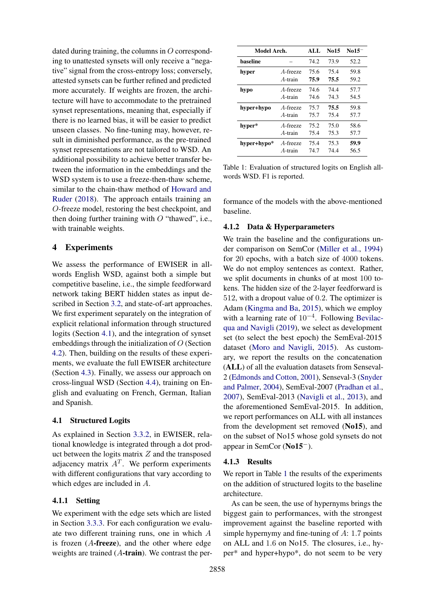dated during training, the columns in O corresponding to unattested synsets will only receive a "negative" signal from the cross-entropy loss; conversely, attested synsets can be further refined and predicted more accurately. If weights are frozen, the architecture will have to accommodate to the pretrained synset representations, meaning that, especially if there is no learned bias, it will be easier to predict unseen classes. No fine-tuning may, however, result in diminished performance, as the pre-trained synset representations are not tailored to WSD. An additional possibility to achieve better transfer between the information in the embeddings and the WSD system is to use a freeze-then-thaw scheme, similar to the chain-thaw method of [Howard and](#page-9-12) [Ruder](#page-9-12) [\(2018\)](#page-9-12). The approach entails training an O-freeze model, restoring the best checkpoint, and then doing further training with  $O$  "thawed", i.e., with trainable weights.

# 4 Experiments

We assess the performance of EWISER in allwords English WSD, against both a simple but competitive baseline, i.e., the simple feedforward network taking BERT hidden states as input described in Section [3.2,](#page-2-2) and state-of-art approaches. We first experiment separately on the integration of explicit relational information through structured logits (Section [4.1\)](#page-4-0), and the integration of synset embeddings through the initialization of  $O$  (Section [4.2\)](#page-5-0). Then, building on the results of these experiments, we evaluate the full EWISER architecture (Section [4.3\)](#page-6-0). Finally, we assess our approach on cross-lingual WSD (Section [4.4\)](#page-7-0), training on English and evaluating on French, German, Italian and Spanish.

# <span id="page-4-0"></span>4.1 Structured Logits

As explained in Section [3.3.2,](#page-2-3) in EWISER, relational knowledge is integrated through a dot product between the logits matrix  $Z$  and the transposed adjacency matrix  $A<sup>T</sup>$ . We perform experiments with different configurations that vary according to which edges are included in A.

# 4.1.1 Setting

We experiment with the edge sets which are listed in Section [3.3.3.](#page-2-4) For each configuration we evaluate two different training runs, one in which A is frozen  $(A$ -freeze), and the other where edge weights are trained  $(A$ -train). We contrast the per-

<span id="page-4-1"></span>

| Model Arch.     | ALL      | No15 | $\text{No}15^-$ |      |
|-----------------|----------|------|-----------------|------|
| <b>baseline</b> |          | 74.2 | 73.9            | 52.2 |
| hyper           | A-freeze | 75.6 | 75.4            | 59.8 |
|                 | A-train  | 75.9 | 75.5            | 59.2 |
| hypo            | A-freeze | 74.6 | 74.4            | 57.7 |
|                 | A-train  | 74.6 | 74.3            | 54.5 |
| hyper+hypo      | A-freeze | 75.7 | 75.5            | 59.8 |
|                 | A-train  | 75.7 | 75.4            | 57.7 |
| hyper*          | A-freeze | 75.2 | 75.0            | 58.6 |
|                 | A-train  | 75.4 | 75.3            | 57.7 |
| hyper+hypo*     | A-freeze | 75.4 | 75.3            | 59.9 |
|                 | A-train  | 74.7 | 74.4            | 56.5 |

Table 1: Evaluation of structured logits on English allwords WSD. F1 is reported.

formance of the models with the above-mentioned baseline.

### <span id="page-4-2"></span>4.1.2 Data & Hyperparameters

We train the baseline and the configurations under comparison on SemCor [\(Miller et al.,](#page-9-13) [1994\)](#page-9-13) for 20 epochs, with a batch size of 4000 tokens. We do not employ sentences as context. Rather, we split documents in chunks of at most 100 tokens. The hidden size of the 2-layer feedforward is 512, with a dropout value of 0.2. The optimizer is Adam [\(Kingma and Ba,](#page-9-14) [2015\)](#page-9-14), which we employ with a learning rate of 10<sup>-4</sup>. Following [Bevilac](#page-9-9)[qua and Navigli](#page-9-9) [\(2019\)](#page-9-9), we select as development set (to select the best epoch) the SemEval-2015 dataset [\(Moro and Navigli,](#page-9-15) [2015\)](#page-9-15). As customary, we report the results on the concatenation (ALL) of all the evaluation datasets from Senseval-2 [\(Edmonds and Cotton,](#page-9-16) [2001\)](#page-9-16), Senseval-3 [\(Snyder](#page-10-13) [and Palmer,](#page-10-13) [2004\)](#page-10-13), SemEval-2007 [\(Pradhan et al.,](#page-10-14) [2007\)](#page-10-14), SemEval-2013 [\(Navigli et al.,](#page-10-15) [2013\)](#page-10-15), and the aforementioned SemEval-2015. In addition, we report performances on ALL with all instances from the development set removed (No15), and on the subset of No15 whose gold synsets do not appear in SemCor (No15−).

# 4.1.3 Results

We report in Table [1](#page-4-1) the results of the experiments on the addition of structured logits to the baseline architecture.

As can be seen, the use of hypernyms brings the biggest gain to performances, with the strongest improvement against the baseline reported with simple hypernymy and fine-tuning of A: 1.7 points on ALL and 1.6 on No15. The closures, i.e., hyper\* and hyper+hypo\*, do not seem to be very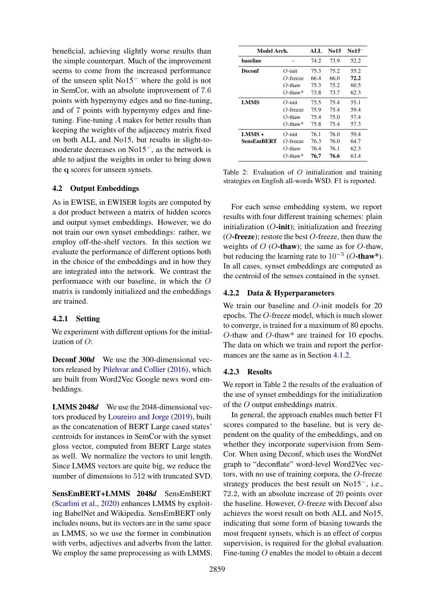beneficial, achieving slightly worse results than the simple counterpart. Much of the improvement seems to come from the increased performance of the unseen split No15<sup>−</sup> where the gold is not in SemCor, with an absolute improvement of 7.6 points with hypernymy edges and no fine-tuning, and of 7 points with hypernymy edges and finetuning. Fine-tuning A makes for better results than keeping the weights of the adjacency matrix fixed on both ALL and No15, but results in slight-tomoderate decreases on No15−, as the network is able to adjust the weights in order to bring down the q scores for unseen synsets.

### <span id="page-5-0"></span>4.2 Output Embeddings

As in EWISE, in EWISER logits are computed by a dot product between a matrix of hidden scores and output synset embeddings. However, we do not train our own synset embeddings: rather, we employ off-the-shelf vectors. In this section we evaluate the performance of different options both in the choice of the embeddings and in how they are integrated into the network. We contrast the performance with our baseline, in which the O matrix is randomly initialized and the embeddings are trained.

#### 4.2.1 Setting

We experiment with different options for the initialization of  $O$ :

Deconf 300*d* We use the 300-dimensional vectors released by [Pilehvar and Collier](#page-10-16) [\(2016\)](#page-10-16), which are built from Word2Vec Google news word embeddings.

LMMS 2048*d* We use the 2048-dimensional vectors produced by [Loureiro and Jorge](#page-9-2) [\(2019\)](#page-9-2), built as the concatenation of BERT Large cased states' centroids for instances in SemCor with the synset gloss vector, computed from BERT Large states as well. We normalize the vectors to unit length. Since LMMS vectors are quite big, we reduce the number of dimensions to 512 with truncated SVD.

SensEmBERT+LMMS 2048*d* SensEmBERT [\(Scarlini et al.,](#page-10-4) [2020\)](#page-10-4) enhances LMMS by exploiting BabelNet and Wikipedia. SensEmBERT only includes nouns, but its vectors are in the same space as LMMS, so we use the former in combination with verbs, adjectives and adverbs from the latter. We employ the same preprocessing as with LMMS.

<span id="page-5-1"></span>

| Model Arch. |             | ALL  | No15 | $No15^-$ |
|-------------|-------------|------|------|----------|
| haseline    |             |      |      | 52.2     |
| Deconf      | $O$ -init   | 75.3 | 75.2 | 55.2     |
|             | $O$ -freeze | 66.4 | 66.0 | 72.2     |
|             | $O$ -thaw   | 75.3 | 75.2 | 60.5     |
|             | $O$ -thaw*  | 73.8 | 73.7 | 62.3     |
| <b>LMMS</b> | $O$ -init   | 75.5 | 75.4 | 55.1     |
|             | O-freeze    | 75.9 | 75.4 | 59.4     |
|             | $O$ -thaw   | 75.4 | 75.0 | 57.4     |
|             | $O$ -thaw*  | 75.8 | 75.4 | 57.3     |
| $LMMS +$    | $O$ -init   | 76.1 | 76.0 | 59.4     |
| SensEmBERT  | $O$ -freeze | 76.3 | 76.0 | 64.7     |
|             | $O$ -thaw   | 76.4 | 76.1 | 62.3     |
|             | $O$ -thaw*  | 76.7 | 76.6 | 63.4     |

Table 2: Evaluation of  $O$  initialization and training strategies on English all-words WSD. F1 is reported.

For each sense embedding system, we report results with four different training schemes: plain initialization  $(O\text{-init})$ ; initialization and freezing ( $O$ -freeze); restore the best  $O$ -freeze, then thaw the weights of  $O$  (*O*-thaw); the same as for *O*-thaw, but reducing the learning rate to  $10^{-5}$  (O-thaw\*). In all cases, synset embeddings are computed as the centroid of the senses contained in the synset.

### 4.2.2 Data & Hyperparameters

We train our baseline and O-init models for 20 epochs. The O-freeze model, which is much slower to converge, is trained for a maximum of 80 epochs. O-thaw and O-thaw\* are trained for 10 epochs. The data on which we train and report the performances are the same as in Section [4.1.2.](#page-4-2)

#### 4.2.3 Results

We report in Table [2](#page-5-1) the results of the evaluation of the use of synset embeddings for the initialization of the O output embeddings matrix.

In general, the approach enables much better F1 scores compared to the baseline, but is very dependent on the quality of the embeddings, and on whether they incorporate supervision from Sem-Cor. When using Deconf, which uses the WordNet graph to "deconflate" word-level Word2Vec vectors, with no use of training corpora, the O-freeze strategy produces the best result on No15−, i.e., 72.2, with an absolute increase of 20 points over the baseline. However, O-freeze with Deconf also achieves the worst result on both ALL and No15, indicating that some form of biasing towards the most frequent synsets, which is an effect of corpus supervision, is required for the global evaluation. Fine-tuning O enables the model to obtain a decent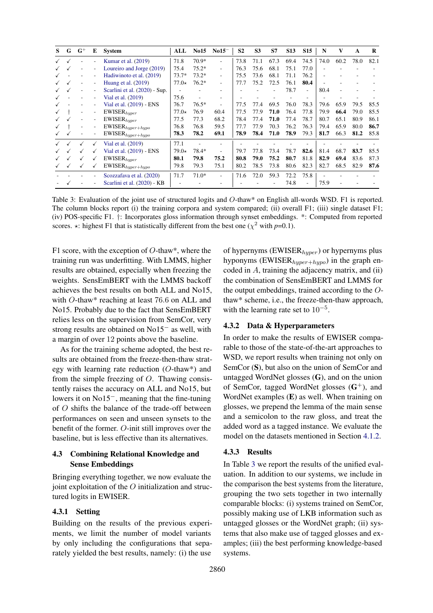<span id="page-6-1"></span>

| S | G | $G^+$                    | E                        | <b>System</b>                 | ALL         | <b>No15</b> | $No15^-$ | S <sub>2</sub> | S <sub>3</sub> | <b>S7</b> | <b>S13</b> | <b>S15</b>               | N    | V    | A    | R    |
|---|---|--------------------------|--------------------------|-------------------------------|-------------|-------------|----------|----------------|----------------|-----------|------------|--------------------------|------|------|------|------|
|   |   |                          |                          | Kumar et al. (2019)           | 71.8        | 70.9*       | ٠        | 73.8           | 71.1           | 67.3      | 69.4       | 74.5                     | 74.0 | 60.2 | 78.0 | 82.1 |
|   |   | ٠                        | ۰                        | Loureiro and Jorge (2019)     | 75.4        | $75.2*$     | ٠        | 76.3           | 75.6           | 68.1      | 75.1       | 77.0                     |      |      |      |      |
|   |   |                          |                          | Hadiwinoto et al. (2019)      | $73.7*$     | $73.2*$     | -        | 75.5           | 73.6           | 68.1      | 71.1       | 76.2                     |      |      |      |      |
|   |   |                          |                          | Huang et al. $(2019)$         | $77.0\star$ | $76.2*$     | ٠        | 77.7           | 75.2           | 72.5      | 76.1       | 80.4                     |      |      |      |      |
|   |   |                          |                          | Scarlini et al. (2020) - Sup. |             |             |          |                |                |           | 78.7       | $\overline{\phantom{a}}$ | 80.4 |      |      |      |
|   |   |                          |                          | Vial et al. (2019)            | 75.6        |             |          |                |                |           |            |                          |      |      |      |      |
|   |   |                          |                          | Vial et al. (2019) - ENS      | 76.7        | $76.5*$     | ٠        | 77.5           | 77.4           | 69.5      | 76.0       | 78.3                     | 79.6 | 65.9 | 79.5 | 85.5 |
|   |   | $\overline{\phantom{0}}$ | $\overline{\phantom{a}}$ | $\text{EWISER}_{hyper}$       | $77.0\star$ | 76.9        | 60.4     | 77.5           | 77.9           | 71.0      | 76.4       | 77.8                     | 79.9 | 66.4 | 79.0 | 85.5 |
|   |   |                          | ٠                        | $EWISER_{hyper}$              | 77.5        | 77.3        | 68.2     | 78.4           | 77.4           | 71.0      | 77.4       | 78.7                     | 80.7 | 65.1 | 80.9 | 86.1 |
|   |   | ٠                        | $\overline{\phantom{a}}$ | $\text{EWISER}_{hyper+hypo}$  | 76.8        | 76.8        | 59.5     | 77.7           | 77.9           | 70.3      | 76.2       | 76.3                     | 79.4 | 65.9 | 80.0 | 86.7 |
|   |   | ۰                        | $\overline{\phantom{a}}$ | $\text{EWISER}_{hyper+hypo}$  | 78.3        | 78.2        | 69.1     | 78.9           | 78.4           | 71.0      | 78.9       | 79.3                     | 81.7 | 66.3 | 81.2 | 85.8 |
|   |   | $\checkmark$             | ✓                        | Vial et al. (2019)            | 77.1        |             |          |                |                |           |            |                          |      |      |      |      |
|   |   | $\checkmark$             | ✓                        | Vial et al. (2019) - ENS      | $79.0\star$ | 78.4*       |          | 79.7           | 77.8           | 73.4      | 78.7       | 82.6                     | 81.4 | 68.7 | 83.7 | 85.5 |
|   |   | ✓                        | √                        | $EWISER_{hyper}$              | 80.1        | 79.8        | 75.2     | 80.8           | 79.0           | 75.2      | 80.7       | 81.8                     | 82.9 | 69.4 | 83.6 | 87.3 |
|   |   | $\checkmark$             | ✓                        | $\text{EWISER}_{hyper+hypo}$  | 79.8        | 79.3        | 75.1     | 80.2           | 78.5           | 73.8      | 80.6       | 82.3                     | 82.7 | 68.5 | 82.9 | 87.6 |
|   |   |                          |                          | Scozzafava et al. (2020)      | 71.7        | $71.0*$     | -        | 71.6           | 72.0           | 59.3      | 72.2       | 75.8                     |      |      |      |      |
|   |   |                          |                          | Scarlini et al. (2020) - KB   |             |             |          |                |                |           | 74.8       | ٠                        | 75.9 |      |      |      |

Table 3: Evaluation of the joint use of structured logits and O-thaw\* on English all-words WSD. F1 is reported. The column blocks report (i) the training corpora and system compared; (ii) overall F1; (iii) single dataset F1; (iv) POS-specific F1. †: Incorporates gloss information through synset embeddings. \*: Computed from reported scores.  $\star$ : highest F1 that is statistically different from the best one ( $\chi^2$  with *p*=0.1).

F1 score, with the exception of  $O$ -thaw\*, where the training run was underfitting. With LMMS, higher results are obtained, especially when freezing the weights. SensEmBERT with the LMMS backoff achieves the best results on both ALL and No15, with O-thaw\* reaching at least 76.6 on ALL and No15. Probably due to the fact that SensEmBERT relies less on the supervision from SemCor, very strong results are obtained on No15<sup>−</sup> as well, with a margin of over 12 points above the baseline.

As for the training scheme adopted, the best results are obtained from the freeze-then-thaw strategy with learning rate reduction (O-thaw\*) and from the simple freezing of  $O$ . Thawing consistently raises the accuracy on ALL and No15, but lowers it on No15−, meaning that the fine-tuning of O shifts the balance of the trade-off between performances on seen and unseen synsets to the benefit of the former. O-init still improves over the baseline, but is less effective than its alternatives.

# <span id="page-6-0"></span>4.3 Combining Relational Knowledge and Sense Embeddings

Bringing everything together, we now evaluate the joint exploitation of the  $O$  initialization and structured logits in EWISER.

# 4.3.1 Setting

Building on the results of the previous experiments, we limit the number of model variants by only including the configurations that separately yielded the best results, namely: (i) the use

of hypernyms (EWISER $_{hyper}$ ) or hypernyms plus hyponyms (EWISER $_{hyper+hupo}$ ) in the graph encoded in A, training the adjacency matrix, and (ii) the combination of SensEmBERT and LMMS for the output embeddings, trained according to the Othaw\* scheme, i.e., the freeze-then-thaw approach, with the learning rate set to  $10^{-5}$ .

### 4.3.2 Data & Hyperparameters

In order to make the results of EWISER comparable to those of the state-of-the-art approaches to WSD, we report results when training not only on SemCor (S), but also on the union of SemCor and untagged WordNet glosses (G), and on the union of SemCor, tagged WordNet glosses  $(G^+)$ , and WordNet examples (E) as well. When training on glosses, we prepend the lemma of the main sense and a semicolon to the raw gloss, and treat the added word as a tagged instance. We evaluate the model on the datasets mentioned in Section [4.1.2.](#page-4-2)

### 4.3.3 Results

In Table [3](#page-6-1) we report the results of the unified evaluation. In addition to our systems, we include in the comparison the best systems from the literature, grouping the two sets together in two internally comparable blocks: (i) systems trained on SemCor, possibly making use of LKB information such as untagged glosses or the WordNet graph; (ii) systems that also make use of tagged glosses and examples; (iii) the best performing knowledge-based systems.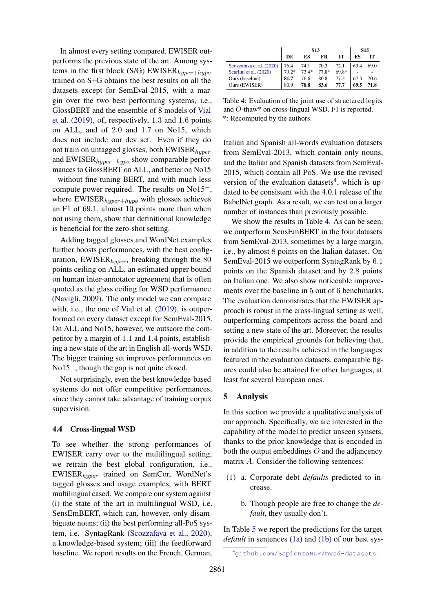In almost every setting compared, EWISER outperforms the previous state of the art. Among systems in the first block (S/G) EWISER $_{hyper+hypo}$ trained on S+G obtains the best results on all the datasets except for SemEval-2015, with a margin over the two best performing systems, i.e., GlossBERT and the ensemble of 8 models of [Vial](#page-10-7) [et al.](#page-10-7) [\(2019\)](#page-10-7), of, respectively, 1.3 and 1.6 points on ALL, and of 2.0 and 1.7 on No15, which does not include our dev set. Even if they do not train on untagged glosses, both  $EWISER_{hyper}$ and  $EWISER_{hyper+hypo}$  show comparable performances to GlossBERT on ALL, and better on No15 – without fine-tuning BERT, and with much less compute power required. The results on No15−, where  $EWISER_{hyper+hypo}$  with glosses achieves an F1 of 69.1, almost 10 points more than when not using them, show that definitional knowledge is beneficial for the zero-shot setting.

Adding tagged glosses and WordNet examples further boosts performances, with the best configuration,  $EWISER_{hyper}$ , breaking through the 80 points ceiling on ALL, an estimated upper bound on human inter-annotator agreement that is often quoted as the glass ceiling for WSD performance [\(Navigli,](#page-10-2) [2009\)](#page-10-2). The only model we can compare with, i.e., the one of [Vial et al.](#page-10-7) [\(2019\)](#page-10-7), is outperformed on every dataset except for SemEval-2015. On ALL and No15, however, we outscore the competitor by a margin of 1.1 and 1.4 points, establishing a new state of the art in English all-words WSD. The bigger training set improves performances on No15−, though the gap is not quite closed.

Not surprisingly, even the best knowledge-based systems do not offer competitive performances, since they cannot take advantage of training corpus supervision.

#### <span id="page-7-0"></span>4.4 Cross-lingual WSD

To see whether the strong performances of EWISER carry over to the multilingual setting, we retrain the best global configuration, i.e., EWISERhyper trained on SemCor, WordNet's tagged glosses and usage examples, with BERT multilingual cased. We compare our system against (i) the state of the art in multilingual WSD, i.e. SensEmBERT, which can, however, only disambiguate nouns; (ii) the best performing all-PoS system, i.e. SyntagRank [\(Scozzafava et al.,](#page-10-17) [2020\)](#page-10-17), a knowledge-based system; (iii) the feedforward baseline. We report results on the French, German,

<span id="page-7-2"></span>

|                          |       | <b>S15</b> |       |       |      |      |
|--------------------------|-------|------------|-------|-------|------|------|
|                          | DE    | ES         | FR    | іт    | ES   |      |
| Scozzafava et al. (2020) | 76.4  | 74.1       | 70.3  | 72.1  | 63.4 | 69.0 |
| Scarlini et al. (2020)   | 79.2* | $73.4*$    | 77.8* | 69.8* |      |      |
| Ours (baseline)          | 81.7  | 76.6       | 80.8  | 77.2  | 67.3 | 70.6 |
| Ours (EWISER)            | 80.9  | 78.8       | 83.6  | 77.7  | 69.5 | 71.8 |

Table 4: Evaluation of the joint use of structured logits and O-thaw\* on cross-lingual WSD. F1 is reported. \*: Recomputed by the authors.

Italian and Spanish all-words evaluation datasets from SemEval-2013, which contain only nouns, and the Italian and Spanish datasets from SemEval-2015, which contain all PoS. We use the revised version of the evaluation datasets<sup>[4](#page-7-1)</sup>, which is updated to be consistent with the 4.0.1 release of the BabelNet graph. As a result, we can test on a larger number of instances than previously possible.

We show the results in Table [4.](#page-7-2) As can be seen, we outperform SensEmBERT in the four datasets from SemEval-2013, sometimes by a large margin, i.e., by almost 8 points on the Italian dataset. On SemEval-2015 we outperform SyntagRank by 6.1 points on the Spanish dataset and by 2.8 points on Italian one. We also show noticeable improvements over the baseline in 5 out of 6 benchmarks. The evaluation demonstrates that the EWISER approach is robust in the cross-lingual setting as well, outperforming competitors across the board and setting a new state of the art. Moreover, the results provide the empirical grounds for believing that, in addition to the results achieved in the languages featured in the evaluation datasets, comparable figures could also be attained for other languages, at least for several European ones.

#### 5 Analysis

In this section we provide a qualitative analysis of our approach. Specifically, we are interested in the capability of the model to predict unseen synsets, thanks to the prior knowledge that is encoded in both the output embeddings  $O$  and the adjancency matrix A. Consider the following sentences:

- <span id="page-7-4"></span><span id="page-7-3"></span>(1) a. Corporate debt *defaults* predicted to increase.
	- b. Though people are free to change the *default*, they usually don't.

In Table [5](#page-8-0) we report the predictions for the target *default* in sentences [\(1a\)](#page-7-3) and [\(1b\)](#page-7-4) of our best sys-

<span id="page-7-1"></span><sup>4</sup><github.com/SapienzaNLP/mwsd-datasets>.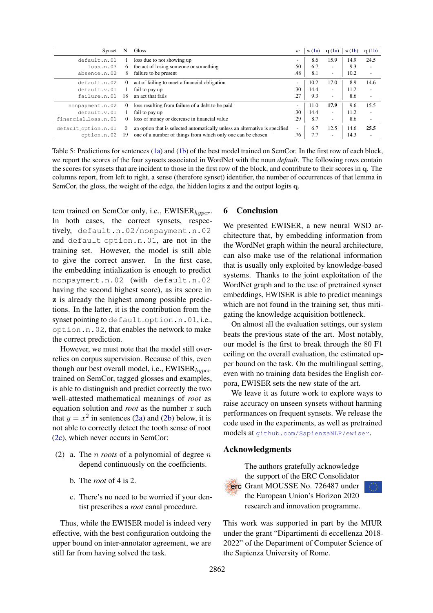<span id="page-8-0"></span>

| Synset              | N        | Gloss                                                                       | w                        | z(1a) | q(1a)                    | $\mathbf{z}$ (1b) | q(1b)                    |
|---------------------|----------|-----------------------------------------------------------------------------|--------------------------|-------|--------------------------|-------------------|--------------------------|
| default.n.01        |          | loss due to not showing up                                                  | -                        | 8.6   | 15.9                     | 14.9              | 24.5                     |
| loss.n.03           | 6.       | the act of losing someone or something                                      | .50                      | 6.7   | $\overline{\phantom{a}}$ | 9.3               | $\overline{\phantom{a}}$ |
| absence.n.02        |          | failure to be present                                                       | .48                      | 8.1   | $\overline{\phantom{a}}$ | 10.2              | $\overline{\phantom{a}}$ |
| default.n.02        | $\Omega$ | act of failing to meet a financial obligation                               | $\overline{\phantom{0}}$ | 10.2  | 17.0                     | 8.9               | 14.6                     |
| default.v.01        |          | fail to pay up                                                              | .30                      | 14.4  | $\overline{\phantom{a}}$ | 11.2              | $\overline{\phantom{a}}$ |
| failure.n.01        | 18       | an act that fails                                                           | .27                      | 9.3   | $\overline{\phantom{a}}$ | 8.6               | $\overline{\phantom{a}}$ |
| nonpayment.n.02     | $\theta$ | loss resulting from failure of a debt to be paid                            | -                        | 11.0  | 17.9                     | 9.6               | 15.5                     |
| default.v.01        |          | fail to pay up                                                              | .30                      | 14.4  | $\overline{\phantom{a}}$ | 11.2              | $\overline{\phantom{m}}$ |
| financial_loss.n.01 |          | loss of money or decrease in financial value                                | .29                      | 8.7   | $\overline{\phantom{a}}$ | 8.6               | $\overline{\phantom{a}}$ |
| default_option.n.01 | $\theta$ | an option that is selected automatically unless an alternative is specified | $\overline{\phantom{0}}$ | 6.7   | 12.5                     | 14.6              | 25.5                     |
| option.n.02         | 19       | one of a number of things from which only one can be chosen                 | .76                      | 7.7   | $\overline{\phantom{a}}$ | 14.3              |                          |

Table 5: Predictions for sentences [\(1a\)](#page-7-3) and [\(1b\)](#page-7-4) of the best model trained on SemCor. In the first row of each block, we report the scores of the four synsets associated in WordNet with the noun *default*. The following rows contain the scores for synsets that are incident to those in the first row of the block, and contribute to their scores in q. The columns report, from left to right, a sense (therefore synset) identifier, the number of occurrences of that lemma in SemCor, the gloss, the weight of the edge, the hidden logits z and the output logits q.

tem trained on SemCor only, i.e.,  $EWISER_{hyper}$ . In both cases, the correct synsets, respectively, default.n.02/nonpayment.n.02 and default option.n.01, are not in the training set. However, the model is still able to give the correct answer. In the first case, the embedding intialization is enough to predict nonpayment.n.02 (with default.n.02 having the second highest score), as its score in z is already the highest among possible predictions. In the latter, it is the contribution from the synset pointing to default\_option.n.01, i.e., option.n.02, that enables the network to make the correct prediction.

However, we must note that the model still overrelies on corpus supervision. Because of this, even though our best overall model, i.e.,  $EWISER_{huper}$ trained on SemCor, tagged glosses and examples, is able to distinguish and predict correctly the two well-attested mathematical meanings of *root* as equation solution and *root* as the number x such that  $y = x^2$  in sentences [\(2a\)](#page-8-1) and [\(2b\)](#page-8-2) below, it is not able to correctly detect the tooth sense of root [\(2c\)](#page-8-3), which never occurs in SemCor:

- <span id="page-8-2"></span><span id="page-8-1"></span>(2) a. The n *roots* of a polynomial of degree n depend continuously on the coefficients.
	- b. The *root* of 4 is 2.
	- c. There's no need to be worried if your dentist prescribes a *root* canal procedure.

<span id="page-8-3"></span>Thus, while the EWISER model is indeed very effective, with the best configuration outdoing the upper bound on inter-annotator agreement, we are still far from having solved the task.

## 6 Conclusion

We presented EWISER, a new neural WSD architecture that, by embedding information from the WordNet graph within the neural architecture, can also make use of the relational information that is usually only exploited by knowledge-based systems. Thanks to the joint exploitation of the WordNet graph and to the use of pretrained synset embeddings, EWISER is able to predict meanings which are not found in the training set, thus mitigating the knowledge acquisition bottleneck.

On almost all the evaluation settings, our system beats the previous state of the art. Most notably, our model is the first to break through the 80 F1 ceiling on the overall evaluation, the estimated upper bound on the task. On the multilingual setting, even with no training data besides the English corpora, EWISER sets the new state of the art.

We leave it as future work to explore ways to raise accuracy on unseen synsets without harming performances on frequent synsets. We release the code used in the experiments, as well as pretrained models at [github.com/SapienzaNLP/ewiser](http://github.com/SapienzaNLP/ewiser).

#### Acknowledgments



The authors gratefully acknowledge the support of the ERC Consolidator erc Grant MOUSSE No. 726487 under the European Union's Horizon 2020 research and innovation programme.

This work was supported in part by the MIUR under the grant "Dipartimenti di eccellenza 2018- 2022" of the Department of Computer Science of the Sapienza University of Rome.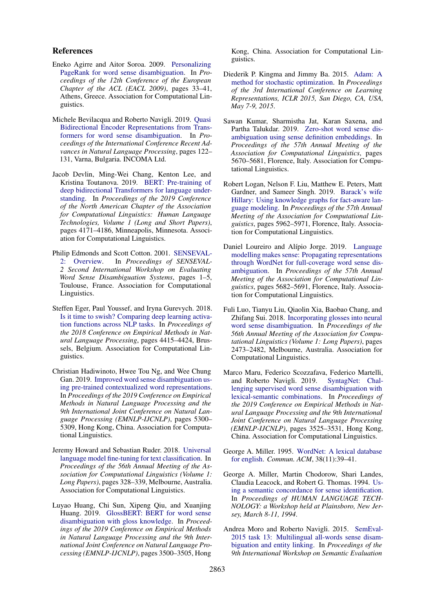#### References

- <span id="page-9-7"></span>Eneko Agirre and Aitor Soroa. 2009. [Personalizing](https://www.aclweb.org/anthology/E09-1005) [PageRank for word sense disambiguation.](https://www.aclweb.org/anthology/E09-1005) In *Proceedings of the 12th Conference of the European Chapter of the ACL (EACL 2009)*, pages 33–41, Athens, Greece. Association for Computational Linguistics.
- <span id="page-9-9"></span>Michele Bevilacqua and Roberto Navigli. 2019. [Quasi](https://doi.org/10.26615/978-954-452-056-4_015) [Bidirectional Encoder Representations from Trans](https://doi.org/10.26615/978-954-452-056-4_015)[formers for word sense disambiguation.](https://doi.org/10.26615/978-954-452-056-4_015) In *Proceedings of the International Conference Recent Advances in Natural Language Processing*, pages 122– 131, Varna, Bulgaria. INCOMA Ltd.
- <span id="page-9-0"></span>Jacob Devlin, Ming-Wei Chang, Kenton Lee, and Kristina Toutanova. 2019. [BERT: Pre-training of](https://doi.org/10.18653/v1/N19-1423) [deep bidirectional Transformers for language under](https://doi.org/10.18653/v1/N19-1423)[standing.](https://doi.org/10.18653/v1/N19-1423) In *Proceedings of the 2019 Conference of the North American Chapter of the Association for Computational Linguistics: Human Language Technologies, Volume 1 (Long and Short Papers)*, pages 4171–4186, Minneapolis, Minnesota. Association for Computational Linguistics.
- <span id="page-9-16"></span>Philip Edmonds and Scott Cotton. 2001. [SENSEVAL-](https://www.aclweb.org/anthology/S01-1001)[2: Overview.](https://www.aclweb.org/anthology/S01-1001) In *Proceedings of SENSEVAL-2 Second International Workshop on Evaluating Word Sense Disambiguation Systems*, pages 1–5, Toulouse, France. Association for Computational Linguistics.
- <span id="page-9-11"></span>Steffen Eger, Paul Youssef, and Iryna Gurevych. 2018. [Is it time to swish? Comparing deep learning activa](https://doi.org/10.18653/v1/D18-1472)[tion functions across NLP tasks.](https://doi.org/10.18653/v1/D18-1472) In *Proceedings of the 2018 Conference on Empirical Methods in Natural Language Processing*, pages 4415–4424, Brussels, Belgium. Association for Computational Linguistics.
- <span id="page-9-10"></span>Christian Hadiwinoto, Hwee Tou Ng, and Wee Chung Gan. 2019. [Improved word sense disambiguation us](https://doi.org/10.18653/v1/D19-1533)[ing pre-trained contextualized word representations.](https://doi.org/10.18653/v1/D19-1533) In *Proceedings of the 2019 Conference on Empirical Methods in Natural Language Processing and the 9th International Joint Conference on Natural Language Processing (EMNLP-IJCNLP)*, pages 5300– 5309, Hong Kong, China. Association for Computational Linguistics.
- <span id="page-9-12"></span>Jeremy Howard and Sebastian Ruder. 2018. [Universal](https://doi.org/10.18653/v1/P18-1031) [language model fine-tuning for text classification.](https://doi.org/10.18653/v1/P18-1031) In *Proceedings of the 56th Annual Meeting of the Association for Computational Linguistics (Volume 1: Long Papers)*, pages 328–339, Melbourne, Australia. Association for Computational Linguistics.
- <span id="page-9-5"></span>Luyao Huang, Chi Sun, Xipeng Qiu, and Xuanjing Huang. 2019. [GlossBERT: BERT for word sense](https://doi.org/10.18653/v1/D19-1355) [disambiguation with gloss knowledge.](https://doi.org/10.18653/v1/D19-1355) In *Proceedings of the 2019 Conference on Empirical Methods in Natural Language Processing and the 9th International Joint Conference on Natural Language Processing (EMNLP-IJCNLP)*, pages 3500–3505, Hong

Kong, China. Association for Computational Linguistics.

- <span id="page-9-14"></span>Diederik P. Kingma and Jimmy Ba. 2015. [Adam: A](http://arxiv.org/abs/1412.6980) [method for stochastic optimization.](http://arxiv.org/abs/1412.6980) In *Proceedings of the 3rd International Conference on Learning Representations, ICLR 2015, San Diego, CA, USA, May 7-9, 2015*.
- <span id="page-9-4"></span>Sawan Kumar, Sharmistha Jat, Karan Saxena, and Partha Talukdar. 2019. [Zero-shot word sense dis](https://doi.org/10.18653/v1/P19-1568)[ambiguation using sense definition embeddings.](https://doi.org/10.18653/v1/P19-1568) In *Proceedings of the 57th Annual Meeting of the Association for Computational Linguistics*, pages 5670–5681, Florence, Italy. Association for Computational Linguistics.
- <span id="page-9-1"></span>Robert Logan, Nelson F. Liu, Matthew E. Peters, Matt Gardner, and Sameer Singh. 2019. [Barack's wife](https://doi.org/10.18653/v1/P19-1598) [Hillary: Using knowledge graphs for fact-aware lan](https://doi.org/10.18653/v1/P19-1598)[guage modeling.](https://doi.org/10.18653/v1/P19-1598) In *Proceedings of the 57th Annual Meeting of the Association for Computational Linguistics*, pages 5962–5971, Florence, Italy. Association for Computational Linguistics.
- <span id="page-9-2"></span>Daniel Loureiro and Alípio Jorge. 2019. [Language](https://doi.org/10.18653/v1/P19-1569) [modelling makes sense: Propagating representations](https://doi.org/10.18653/v1/P19-1569) [through WordNet for full-coverage word sense dis](https://doi.org/10.18653/v1/P19-1569)[ambiguation.](https://doi.org/10.18653/v1/P19-1569) In *Proceedings of the 57th Annual Meeting of the Association for Computational Linguistics*, pages 5682–5691, Florence, Italy. Association for Computational Linguistics.
- <span id="page-9-3"></span>Fuli Luo, Tianyu Liu, Qiaolin Xia, Baobao Chang, and Zhifang Sui. 2018. [Incorporating glosses into neural](https://doi.org/10.18653/v1/P18-1230) [word sense disambiguation.](https://doi.org/10.18653/v1/P18-1230) In *Proceedings of the 56th Annual Meeting of the Association for Computational Linguistics (Volume 1: Long Papers)*, pages 2473–2482, Melbourne, Australia. Association for Computational Linguistics.
- <span id="page-9-8"></span>Marco Maru, Federico Scozzafava, Federico Martelli, and Roberto Navigli. 2019. [lenging supervised word sense disambiguation with](https://doi.org/10.18653/v1/D19-1359) [lexical-semantic combinations.](https://doi.org/10.18653/v1/D19-1359) In *Proceedings of the 2019 Conference on Empirical Methods in Natural Language Processing and the 9th International Joint Conference on Natural Language Processing (EMNLP-IJCNLP)*, pages 3525–3531, Hong Kong, China. Association for Computational Linguistics.
- <span id="page-9-6"></span>George A. Miller. 1995. [WordNet: A lexical database](https://doi.org/10.1145/219717.219748) [for english.](https://doi.org/10.1145/219717.219748) *Commun. ACM*, 38(11):39–41.
- <span id="page-9-13"></span>George A. Miller, Martin Chodorow, Shari Landes, Claudia Leacock, and Robert G. Thomas. 1994. [Us](https://www.aclweb.org/anthology/H94-1046)[ing a semantic concordance for sense identification.](https://www.aclweb.org/anthology/H94-1046) In *Proceedings of HUMAN LANGUAGE TECH-NOLOGY: a Workshop held at Plainsboro, New Jersey, March 8-11, 1994*.
- <span id="page-9-15"></span>Andrea Moro and Roberto Navigli. 2015. [SemEval-](https://doi.org/10.18653/v1/S15-2049)[2015 task 13: Multilingual all-words sense disam](https://doi.org/10.18653/v1/S15-2049)[biguation and entity linking.](https://doi.org/10.18653/v1/S15-2049) In *Proceedings of the 9th International Workshop on Semantic Evaluation*